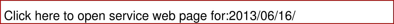| Click here to open service web page for:2013/06/16/ |  |  |  |
|-----------------------------------------------------|--|--|--|
|-----------------------------------------------------|--|--|--|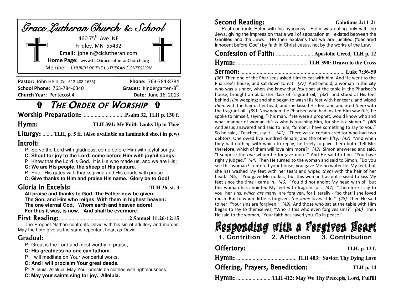| Grace Lutheran Church & School            |  |  |  |  |
|-------------------------------------------|--|--|--|--|
| 460 75 <sup>th</sup> Ave. NE              |  |  |  |  |
| Fridley, MN 55432                         |  |  |  |  |
| Email: jphein@clclutheran.com             |  |  |  |  |
| Home Page: www.CLCGraceLutheranChurch.org |  |  |  |  |
| Member: CHURCH OF THE LUTHERAN CONFESSION |  |  |  |  |

| <b>Pastor: John Hein (Cell 612-408-1635)</b> | <b>Phone: 763-784-8784</b> |
|----------------------------------------------|----------------------------|
| School Phone: 763-784-6340                   | Grades: Kindergarten-8th   |
| <b>Church Year: Pentecost 4</b>              | <b>Date:</b> June 16, 2013 |

### THE ORDER OF WORSHIP

Worship Preparation: ............................... **Psalm 32, TLH p. 130 f.**

Hymn: ....................................... **TLH 394: My Faith Looks Up to Thee** 

Liturgy: ........ **TLH, p. 5 ff. (Also available on laminated sheet in pew)** 

#### Introit:

- P: Serve the Lord with gladness; come before Him with joyful songs.
- **C: Shout for joy to the Lord, come before Him with joyful songs.**
- P Know that the Lord is God.It is He who made us, and we are His;
- **C: We are His people, the sheep of His pasture.**
- P: Enter His gates with thanksgiving and His courts with praise;
- **C: Give thanks to Him and praise His name. Glory be to God!**

### Gloria in Excelsis: ........................................................ **TLH 36, st. 3**

**All praise and thanks to God The Father now be given, The Son, and Him who reigns With them in highest heaven: The one eternal God, Whom earth and heaven adore! For thus it was, is now, And shall be evermore.** 

### First Reading: ................................................... **2 Samuel 11:26-12:15**

The Prophet Nathan confronts David with his sin of adultery and murder. May the Lord give us the same repentant heart as David.

### Gradual:

- P: Great is the Lord and most worthy of praise;
- **C: His greatness no one can fathom.**
- P I will meditate on Your wonderful works,
- **C: And I will proclaim Your great deeds.**
- P: Alleluia. Alleluia. May Your priests be clothed with righteousness;
- **C: May your saints sing for joy. Alleluia.**

| Paul confronts Peter with his hypocrisy. Peter was eating only with the         |  |
|---------------------------------------------------------------------------------|--|
| Jews, giving the impression that a wall of separation still existed between the |  |
| Gentiles and the Jews. He then explains that we are justified ("declared        |  |
| innocent before God") by faith in Christ Jesus, not by the works of the Law.    |  |

# Confession of Faith: ........................... **Apostolic Creed, TLH p. 12**

Hymn: .................................................... **TLH 390: Drawn to the Cross** 

#### Sermon: ............................................................................ **Luke 7:36-50**

*(36)* Then one of the Pharisees asked Him to eat with him. And He went to the Pharisee's house, and sat down to eat. (37) And behold, a woman in the city who was a sinner, when she knew that *Jesus* sat at the table in the Pharisee's house, brought an alabaster flask of fragrant oil, *(38)* and stood at His feet behind *Him* weeping; and she began to wash His feet with her tears, and wiped *them* with the hair of her head; and she kissed His feet and anointed *them* with the fragrant oil. *(39)* Now when the Pharisee who had invited Him saw *this,* he spoke to himself, saying, "This man, if He were a prophet, would know who and what manner of woman *this is* who is touching Him, for she is a sinner." (40) And Jesus answered and said to him, "Simon, I have something to say to you." So he said, "Teacher, say it." (41) "There was a certain creditor who had two debtors. One owed five hundred denarii, and the other fifty. (42) "And when they had nothing with which to repay, he freely forgave them both. Tell Me, therefore, which of them will love him more?" (43) Simon answered and said, "I suppose the one whom he forgave more." And He said to him, "You have rightly judged." (44) Then He turned to the woman and said to Simon, "Do you see this woman? I entered your house; you gave Me no water for My feet, but she has washed My feet with her tears and wiped *them* with the hair of her head. (45) "You gave Me no kiss, but this woman has not ceased to kiss My feet since the time I came in. (46) "You did not anoint My head with oil, but this woman has anointed My feet with fragrant oil. (47) "Therefore I say to you, her sins, which are many, are forgiven, for [literally - "so that"] she loved much. But to whom little is forgiven, the same loves little." (48) Then He said to her, "Your sins are forgiven." (49) And those who sat at the table with Him began to say to themselves, "Who is this who even forgives sins?" (50) Then He said to the woman, "Your faith has saved you. Go in peace."

# **1. Contrition 2. Affection 3. Contribution**  Offertory: ........................................................................ **TLH, p. 12 f.** Hymn: ............................................ **TLH 403: Savior, Thy Dying Love**  Offering, Prayers, Benediction: ............................... **TLH p. 14**

Hymn: .......................... **TLH 412: May We Thy Precepts, Lord, Fulfill**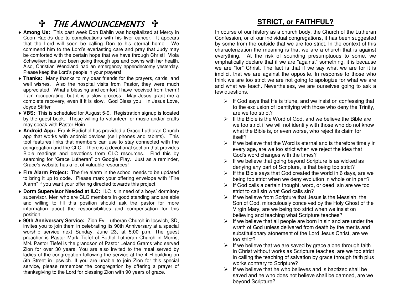## **f THE ANNOUNCEMENTS ff**

- **Among Us:** This past week Don Dahlin was hospitalized at Mercy in Coon Rapids due to complications with his liver cancer. It appears that the Lord will soon be calling Don to his eternal home. We commend him to the Lord's everlasting care and pray that Judy may be comforted with the certain hope that we have through Christ! Viola Schweikert has also been going through ups and downs with her health. Also, Christian Wendland had an emergency appendectomy yesterday. Please keep the Lord's people in your prayers!
- **Thanks:** Many thanks to my dear friends for the prayers, cards, and well wishes. Also the hospital visits from Pastor, they were much appreciated. What a blessing and comfort I have received from them!! I am recuperating, but it is a slow process. May Jesus grant me a complete recovery, even if it is slow. God Bless you! In Jesus Love, Joyce Stifter
- **VBS:** This is scheduled for August 5-9. Registration signup is located by the guest book. Those willing to volunteer for music and/or crafts may speak with Pastor Hein.
- **Android App:** Frank Radichel has provided a Grace Lutheran Church app that works with android devices (cell phones and tablets). This tool features links that members can use to stay connected with the congregation and the CLC. There is a devotional section that provides Bible readings and devotions from CLC resources. Find this by searching for "Grace Lutheran" on Google Play. Just as a reminder, Grace's website has a lot of valuable resources!
- **Fire Alarm Project:** The fire alarm in the school needs to be updated to bring it up to code. Please mark your offering envelope with "Fire Alarm" if you want your offering directed towards this project.
- **Dorm Supervisor Needed at ILC:** ILC is in need of a boys' dormitory supervisor. Men who are CLC members in good standing and are able and willing to fill this position should ask the pastor for more information about the responsibilities and compensation for this position.
- **90th Anniversary Service:** Zion Ev. Lutheran Church in Ipswich, SD, invites you to join them in celebrating its 90th Anniversary at a special worship service next Sunday, June 23, at 5:00 p.m. The guest preacher is Pastor Mark Tiefel of Bethel Lutheran Church in Morris, MN. Pastor Tiefel is the grandson of Pastor Leland Grams who served Zion for over 30 years. You are also invited to the meal served by ladies of the congregation following the service at the 4-H building on 5th Street in Ipswich. If you are unable to join Zion for this special service, please remember the congregation by offering a prayer of thanksgiving to the Lord for blessing Zion with 90 years of grace.

### **STRICT, or FAITHFUL?**

In course of our history as a church body, the Church of the Lutheran Confession, or of our individual congregations, it has been suggested by some from the outside that we are too strict. In the context of this characterization the meaning is that we are a church that is against everything. At the risk of sounding presumptuous to some, we emphatically declare that if we are "against" something, it is because we are "for" Christ. The fact is that if we say what we are for it is implicit that we are against the opposite. In response to those who think we are too strict we are not going to apologize for what we are and what we teach. Nevertheless, we are ourselves going to ask a few questions.

- $\triangleright$  If God says that He is triune, and we insist on confessing that to the exclusion of identifying with those who deny the Trinity, are we too strict?
- $\triangleright$  If the Bible is the Word of God, and we believe the Bible are we too strict if we will not identify with those who do not know what the Bible is, or even worse, who reject its claim for itself?
- $\triangleright$  If we believe that the Word is eternal and is therefore timely in every age, are we too strict when we reject the idea that God's word changes with the times?
- $\triangleright$  If we believe that going beyond Scripture is as wicked as denying any part of Scripture, is that being too strict?
- $\triangleright$  If the Bible says that God created the world in 6 days, are we being too strict when we deny evolution in whole or in part?
- $\triangleright$  If God calls a certain thought, word, or deed, sin are we too strict to call sin what God calls sin?
- $\triangleright$  If we believe from Scripture that Jesus is the Messiah, the Son of God, miraculously conceived by the Holy Ghost of the Virgin Mary, are we being too strict when we insist on believing and teaching what Scripture teaches?
- $\triangleright$  If we believe that all people are born in sin and are under the wrath of God unless delivered from death by the merits and substitutionary atonement of the Lord Jesus Christ, are we too strict?
- $\triangleright$  If we believe that we are saved by grace alone through faith in Christ without works as Scripture teaches, are we too strict in calling the teaching of salvation by grace through faith plus works contrary to Scripture?
- $\triangleright$  If we believe that he who believes and is baptized shall be saved and he who does not believe shall be damned, are we beyond Scripture?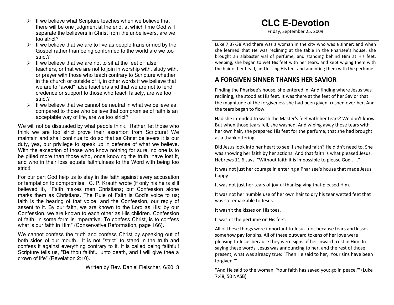- $\triangleright$  If we believe what Scripture teaches when we believe that there will be one judgment at the end, at which time God will separate the believers in Christ from the unbelievers, are we too strict?
- $\triangleright$  If we believe that we are to live as people transformed by the Gospel rather than being conformed to the world are we too strict?
- $\triangleright$  If we believe that we are not to sit at the feet of false teachers, or that we are not to join in worship with, study with, or prayer with those who teach contrary to Scripture whether in the church or outside of it, in other words if we believe that we are to "avoid" false teachers and that we are not to lend credence or support to those who teach falsely, are we too strict?
- $\triangleright$  If we believe that we cannot be neutral in what we believe as compared to those who believe that compromise of faith is an acceptable way of life, are we too strict?

We will not be dissuaded by what people think. Rather, let those who think we are too strict prove their assertion from Scripture! We maintain and shall continue to do so that as Christ believers it is our duty, yea, our privilege to speak up in defense of what we believe. With the exception of those who know nothing for sure, no one is to be pitied more than those who, once knowing the truth, have lost it, and who in their loss equate faithfulness to the Word with being too strict!

For our part God help us to stay in the faith against every accusation or temptation to compromise. C. P. Krauth wrote (if only his heirs still believed it), "Faith makes men Christians; but Confession alone marks them as Christians. The Rule of Faith is God's voice to us; faith is the hearing of that voice, and the Confession, our reply of assent to it. By our faith, we are known to the Lord as His; by our Confession, we are known to each other as His children. Confession of faith, in some form is imperative. To confess Christ, is to confess what is our faith in Him" (Conservative Reformation, page 166).

We cannot confess the truth and confess Christ by speaking out of both sides of our mouth. It is not "strict" to stand in the truth and confess it against everything contrary to it. It is called being faithful! Scripture tells us, "Be thou faithful unto death, and I will give thee a crown of life" (Revelation 2:10).

Written by Rev. Daniel Fleischer, 6/2013

### **CLC E-Devotion**

Friday, September 25, 2009

Luke 7:37-38 And there was a woman in the city who was a sinner; and when she learned that He was reclining at the table in the Pharisee's house, she brought an alabaster vial of perfume, and standing behind Him at His feet, weeping, she began to wet His feet with her tears, and kept wiping them with the hair of her head, and kissing His feet and anointing them with the perfume.

### **A FORGIVEN SINNER THANKS HER SAVIOR**

Finding the Pharisee's house, she entered in. And finding where Jesus was reclining, she stood at His feet. It was there at the feet of her Savior that the magnitude of the forgiveness she had been given, rushed over her. And the tears began to flow.

Had she intended to wash the Master's feet with her tears? We don't know. But when those tears fell, she washed. And wiping away those tears with her own hair, she prepared His feet for the perfume, that she had brought as a thank offering.

Did Jesus look into her heart to see if she had faith? He didn't need to. She was showing her faith by her actions. And that faith is what pleased Jesus. Hebrews 11:6 says, "Without faith it is impossible to please God . . ."

It was not just her courage in entering a Pharisee's house that made Jesus happy.

It was not just her tears of joyful thanksgiving that pleased Him.

It was not her humble use of her own hair to dry his tear wetted feet that was so remarkable to Jesus.

It wasn't the kisses on His toes.

It wasn't the perfume on His feet.

All of these things were important to Jesus, not because tears and kisses somehow pay for sins. All of these outward tokens of her love were pleasing to Jesus because they were signs of her inward trust in Him. In saying these words, Jesus was announcing to her, and the rest of those present, what was already true: "Then He said to her, 'Your sins have been forgiven.'"

"And He said to the woman, 'Your faith has saved you; go in peace.'" (Luke 7:48, 50 NASB)